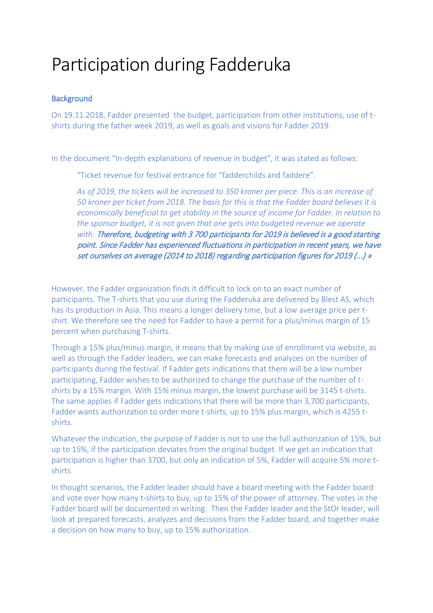## Participation during Fadderuka

## **Background**

On 19.11.2018, Fadder presented the budget, participation from other institutions, use of tshirts during the father week 2019, as well as goals and visions for Fadder 2019.

In the document "In-depth explanations of revenue in budget", it was stated as follows:

"Ticket revenue for festival entrance for "fadderchilds and faddere".

*As of 2019, the tickets will be increased to 350 kroner per piece. This is an increase of 50 kroner per ticket from 2018. The basis for this is that the Fadder board believes it is economically beneficial to get stability in the source of income for Fadder. In relation to the sponsor budget, it is not given that one gets into budgeted revenue we operate with.* Therefore, budgeting with 3 700 participants for 2019 is believed is a good starting point. Since Fadder has experienced fluctuations in participation in recent years, we have set ourselves on average (2014 to 2018) regarding participation figures for 2019 (...) »

However, the Fadder organization finds it difficult to lock on to an exact number of participants. The T-shirts that you use during the Fadderuka are delivered by Blest AS, which has its production in Asia. This means a longer delivery time, but a low average price per tshirt. We therefore see the need for Fadder to have a permit for a plus/minus margin of 15 percent when purchasing T-shirts.

Through a 15% plus/minus margin, it means that by making use of enrollment via website, as well as through the Fadder leaders, we can make forecasts and analyzes on the number of participants during the festival. If Fadder gets indications that there will be a low number participating, Fadder wishes to be authorized to change the purchase of the number of tshirts by a 15% margin. With 15% minus margin, the lowest purchase will be 3145 t-shirts. The same applies if Fadder gets indications that there will be more than 3,700 participants, Fadder wants authorization to order more t-shirts, up to 15% plus margin, which is 4255 tshirts.

Whatever the indication, the purpose of Fadder is not to use the full authorization of 15%, but up to 15%, if the participation deviates from the original budget. If we get an indication that participation is higher than 3700, but only an indication of 5%, Fadder will acquire 5% more tshirts.

In thought scenarios, the Fadder leader should have a board meeting with the Fadder board and vote over how many t-shirts to buy, up to 15% of the power of attorney. The votes in the Fadder board will be documented in writing. Then the Fadder leader and the StOr leader, will look at prepared forecasts, analyzes and decisions from the Fadder board, and together make a decision on how many to buy, up to 15% authorization.